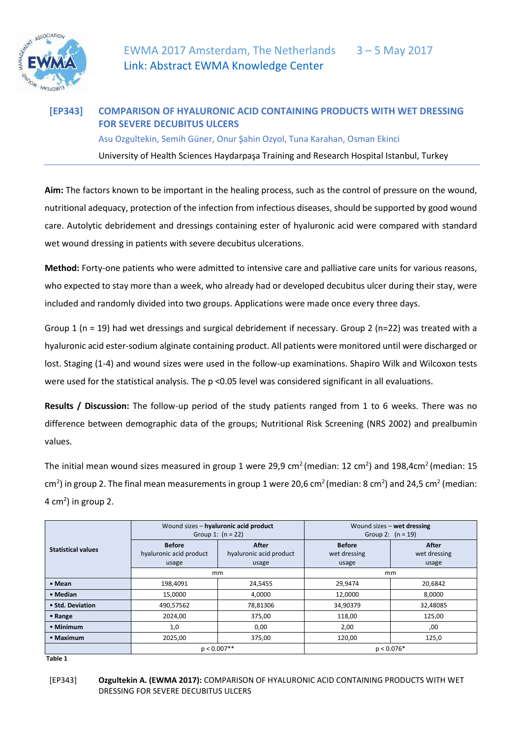

## **[EP343] COMPARISON OF HYALURONIC ACID CONTAINING PRODUCTS WITH WET DRESSING FOR SEVERE DECUBITUS ULCERS**  Asu Ozgultekin, Semih Güner, Onur Şahin Ozyol, Tuna Karahan, Osman Ekinci

University of Health Sciences Haydarpaşa Training and Research Hospital Istanbul, Turkey

**Aim:** The factors known to be important in the healing process, such as the control of pressure on the wound, nutritional adequacy, protection of the infection from infectious diseases, should be supported by good wound care. Autolytic debridement and dressings containing ester of hyaluronic acid were compared with standard wet wound dressing in patients with severe decubitus ulcerations.

**Method:** Forty-one patients who were admitted to intensive care and palliative care units for various reasons, who expected to stay more than a week, who already had or developed decubitus ulcer during their stay, were included and randomly divided into two groups. Applications were made once every three days.

Group 1 ( $n = 19$ ) had wet dressings and surgical debridement if necessary. Group 2 ( $n=22$ ) was treated with a hyaluronic acid ester-sodium alginate containing product. All patients were monitored until were discharged or lost. Staging (1-4) and wound sizes were used in the follow-up examinations. Shapiro Wilk and Wilcoxon tests were used for the statistical analysis. The p <0.05 level was considered significant in all evaluations.

**Results / Discussion:** The follow-up period of the study patients ranged from 1 to 6 weeks. There was no difference between demographic data of the groups; Nutritional Risk Screening (NRS 2002) and prealbumin values.

The initial mean wound sizes measured in group 1 were 29,9 cm<sup>2</sup> (median: 12 cm<sup>2</sup>) and 198,4cm<sup>2</sup> (median: 15 cm<sup>2</sup>) in group 2. The final mean measurements in group 1 were 20,6 cm<sup>2</sup> (median: 8 cm<sup>2</sup>) and 24,5 cm<sup>2</sup> (median:  $4 \text{ cm}^2$ ) in group 2.

| <b>Statistical values</b> | Wound sizes - hyaluronic acid product<br>Group 1: $(n = 22)$ |                                                  | Wound sizes $-$ wet dressing<br>Group 2: $(n = 19)$ |                                       |
|---------------------------|--------------------------------------------------------------|--------------------------------------------------|-----------------------------------------------------|---------------------------------------|
|                           | <b>Before</b><br>hyaluronic acid product<br>usage            | <b>After</b><br>hyaluronic acid product<br>usage | <b>Before</b><br>wet dressing<br>usage              | <b>After</b><br>wet dressing<br>usage |
|                           | mm                                                           |                                                  | mm                                                  |                                       |
| • Mean                    | 198,4091                                                     | 24,5455                                          | 29,9474                                             | 20,6842                               |
| • Median                  | 15,0000                                                      | 4,0000                                           | 12,0000                                             | 8,0000                                |
| • Std. Deviation          | 490,57562                                                    | 78,81306                                         | 34,90379                                            | 32,48085                              |
| • Range                   | 2024.00                                                      | 375,00                                           | 118,00                                              | 125,00                                |
| • Minimum                 | 1,0                                                          | 0,00                                             | 2,00                                                | ,00                                   |
| • Maximum                 | 2025,00                                                      | 375,00                                           | 120,00                                              | 125,0                                 |
|                           | $p < 0.007**$                                                |                                                  | $p < 0.076*$                                        |                                       |

 **Table 1** 

[EP343] **Ozgultekin A. (EWMA 2017):** COMPARISON OF HYALURONIC ACID CONTAINING PRODUCTS WITH WET DRESSING FOR SEVERE DECUBITUS ULCERS